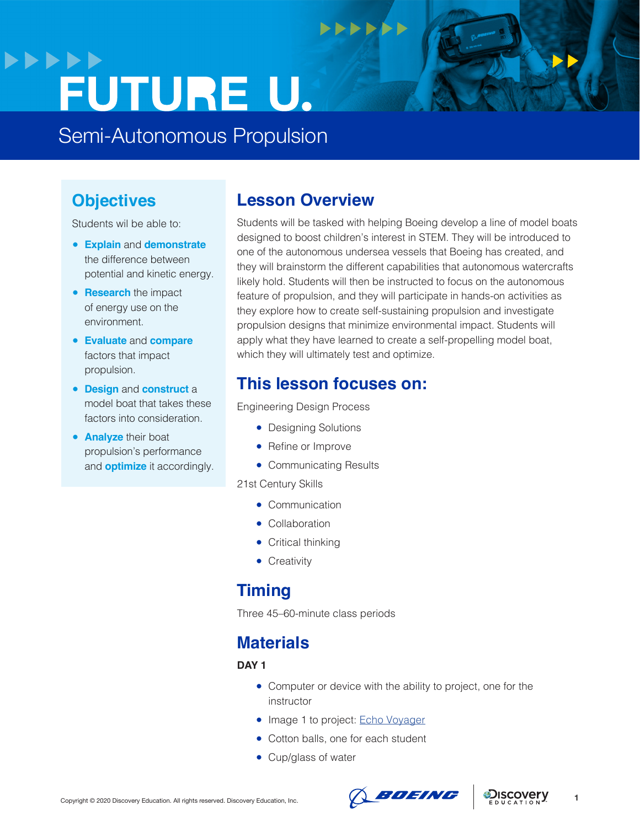## **>>>>>> FUTURE U.**

Semi-Autonomous Propulsion

### **Objectives**

Students wil be able to:

- **Explain** and **demonstrate** the difference between potential and kinetic energy.
- **Research** the impact of energy use on the environment.
- **Evaluate** and **compare** factors that impact propulsion.
- **Design** and **construct** a model boat that takes these factors into consideration.
- **Analyze** their boat propulsion's performance and **optimize** it accordingly.

### **Lesson Overview**

**NNNNN** 

Students will be tasked with helping Boeing develop a line of model boats designed to boost children's interest in STEM. They will be introduced to one of the autonomous undersea vessels that Boeing has created, and they will brainstorm the different capabilities that autonomous watercrafts likely hold. Students will then be instructed to focus on the autonomous feature of propulsion, and they will participate in hands-on activities as they explore how to create self-sustaining propulsion and investigate propulsion designs that minimize environmental impact. Students will apply what they have learned to create a self-propelling model boat, which they will ultimately test and optimize.

### **This lesson focuses on:**

Engineering Design Process

- Designing Solutions
- Refine or Improve
- Communicating Results

21st Century Skills

- Communication
- Collaboration
- Critical thinking
- Creativity

### **Timing**

Three 45–60-minute class periods

### **Materials**

### **DAY 1**

- Computer or device with the ability to project, one for the instructor
- Image 1 to project: [Echo Voyager](https://hips.hearstapps.com/hmg-prod.s3.amazonaws.com/images/screen-shot-2019-02-14-at-10-57-45-am-1550170849.png)
- Cotton balls, one for each student
- Cup/glass of water



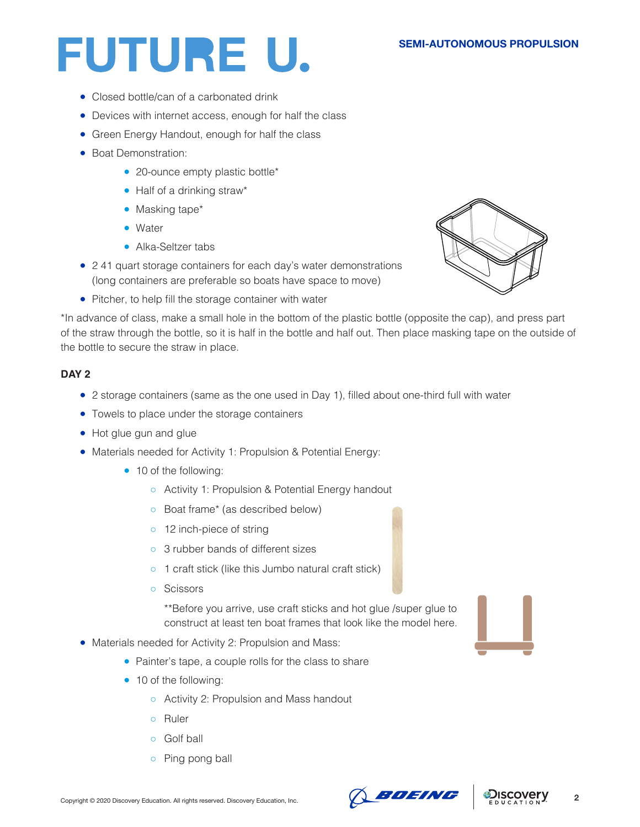- Closed bottle/can of a carbonated drink
- Devices with internet access, enough for half the class
- Green Energy Handout, enough for half the class
- Boat Demonstration:
	- 20-ounce empty plastic bottle\*
	- Half of a drinking straw\*
	- Masking tape\*
	- Water
	- Alka-Seltzer tabs
- 241 quart storage containers for each day's water demonstrations (long containers are preferable so boats have space to move)
- Pitcher, to help fill the storage container with water

\*In advance of class, make a small hole in the bottom of the plastic bottle (opposite the cap), and press part of the straw through the bottle, so it is half in the bottle and half out. Then place masking tape on the outside of the bottle to secure the straw in place.

### **DAY 2**

- 2 storage containers (same as the one used in Day 1), filled about one-third full with water
- Towels to place under the storage containers
- Hot glue gun and glue
- Materials needed for Activity 1: Propulsion & Potential Energy:
	- 10 of the following:
		- Activity 1: Propulsion & Potential Energy handout
		- Boat frame\* (as described below)
		- o 12 inch-piece of string
		- 3 rubber bands of different sizes
		- 1 craft stick (like this Jumbo natural craft stick)
		- Scissors

\*\*Before you arrive, use craft sticks and hot glue /super glue to construct at least ten boat frames that look like the model here.

- Materials needed for Activity 2: Propulsion and Mass:
	- Painter's tape, a couple rolls for the class to share
	- 10 of the following:
		- Activity 2: Propulsion and Mass handout
		- Ruler
		- Golf ball
		- Ping pong ball







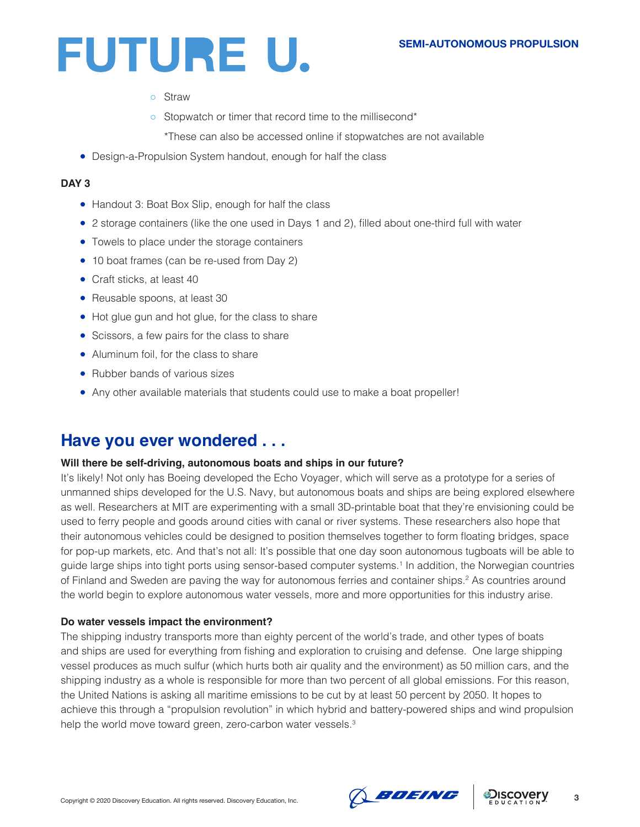- Straw
- Stopwatch or timer that record time to the millisecond\*
	- \*These can also be accessed online if stopwatches are not available
- Design-a-Propulsion System handout, enough for half the class

### **DAY 3**

- Handout 3: Boat Box Slip, enough for half the class
- 2 storage containers (like the one used in Days 1 and 2), filled about one-third full with water
- Towels to place under the storage containers
- 10 boat frames (can be re-used from Day 2)
- Craft sticks, at least 40
- Reusable spoons, at least 30
- Hot glue gun and hot glue, for the class to share
- Scissors, a few pairs for the class to share
- Aluminum foil, for the class to share
- Rubber bands of various sizes
- Any other available materials that students could use to make a boat propeller!

### **Have you ever wondered . . .**

### **Will there be self-driving, autonomous boats and ships in our future?**

It's likely! Not only has Boeing developed the Echo Voyager, which will serve as a prototype for a series of unmanned ships developed for the U.S. Navy, but autonomous boats and ships are being explored elsewhere as well. Researchers at MIT are experimenting with a small 3D-printable boat that they're envisioning could be used to ferry people and goods around cities with canal or river systems. These researchers also hope that their autonomous vehicles could be designed to position themselves together to form floating bridges, space for pop-up markets, etc. And that's not all: It's possible that one day soon autonomous tugboats will be able to guide large ships into tight ports using sensor-based computer systems.1 In addition, the Norwegian countries of Finland and Sweden are paving the way for autonomous ferries and container ships.<sup>2</sup> As countries around the world begin to explore autonomous water vessels, more and more opportunities for this industry arise.

### **Do water vessels impact the environment?**

The shipping industry transports more than eighty percent of the world's trade, and other types of boats and ships are used for everything from fishing and exploration to cruising and defense. One large shipping vessel produces as much sulfur (which hurts both air quality and the environment) as 50 million cars, and the shipping industry as a whole is responsible for more than two percent of all global emissions. For this reason, the United Nations is asking all maritime emissions to be cut by at least 50 percent by 2050. It hopes to achieve this through a "propulsion revolution" in which hybrid and battery-powered ships and wind propulsion help the world move toward green, zero-carbon water vessels.<sup>3</sup>



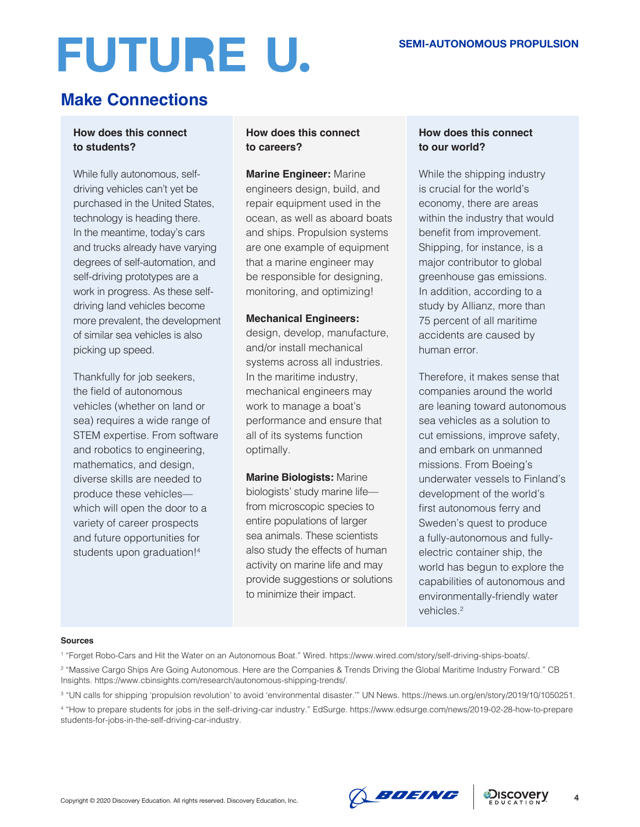## **Make Connections**

### **How does this connect to students?**

While fully autonomous, selfdriving vehicles can't yet be purchased in the United States, technology is heading there. In the meantime, today's cars and trucks already have varying degrees of self-automation, and self-driving prototypes are a work in progress. As these selfdriving land vehicles become more prevalent, the development of similar sea vehicles is also picking up speed.

Thankfully for job seekers, the field of autonomous vehicles (whether on land or sea) requires a wide range of STEM expertise. From software and robotics to engineering, mathematics, and design, diverse skills are needed to produce these vehicles which will open the door to a variety of career prospects and future opportunities for students upon graduation!4

### **How does this connect to careers?**

**Marine Engineer:** Marine engineers design, build, and repair equipment used in the ocean, as well as aboard boats and ships. Propulsion systems are one example of equipment that a marine engineer may be responsible for designing, monitoring, and optimizing!

### **Mechanical Engineers:**

design, develop, manufacture, and/or install mechanical systems across all industries. In the maritime industry, mechanical engineers may work to manage a boat's performance and ensure that all of its systems function optimally.

**Marine Biologists:** Marine biologists' study marine life from microscopic species to entire populations of larger sea animals. These scientists also study the effects of human activity on marine life and may provide suggestions or solutions to minimize their impact.

### **How does this connect to our world?**

While the shipping industry is crucial for the world's economy, there are areas within the industry that would benefit from improvement. Shipping, for instance, is a major contributor to global greenhouse gas emissions. In addition, according to a study by Allianz, more than 75 percent of all maritime accidents are caused by human error.

Therefore, it makes sense that companies around the world are leaning toward autonomous sea vehicles as a solution to cut emissions, improve safety, and embark on unmanned missions. From Boeing's underwater vessels to Finland's development of the world's first autonomous ferry and Sweden's quest to produce a fully-autonomous and fullyelectric container ship, the world has begun to explore the capabilities of autonomous and environmentally-friendly water vehicles.<sup>2</sup>

#### **Sources**

1 "Forget Robo-Cars and Hit the Water on an Autonomous Boat." Wired. https://www.wired.com/story/self-driving-ships-boats/.





<sup>2</sup> "Massive Cargo Ships Are Going Autonomous. Here are the Companies & Trends Driving the Global Maritime Industry Forward." CB Insights. https://www.cbinsights.com/research/autonomous-shipping-trends/.

<sup>3</sup> "UN calls for shipping 'propulsion revolution' to avoid 'environmental disaster.'" UN News. https://news.un.org/en/story/2019/10/1050251.

<sup>4</sup> "How to prepare students for jobs in the self-driving-car industry." EdSurge. https://www.edsurge.com/news/2019-02-28-how-to-prepare students-for-jobs-in-the-self-driving-car-industry.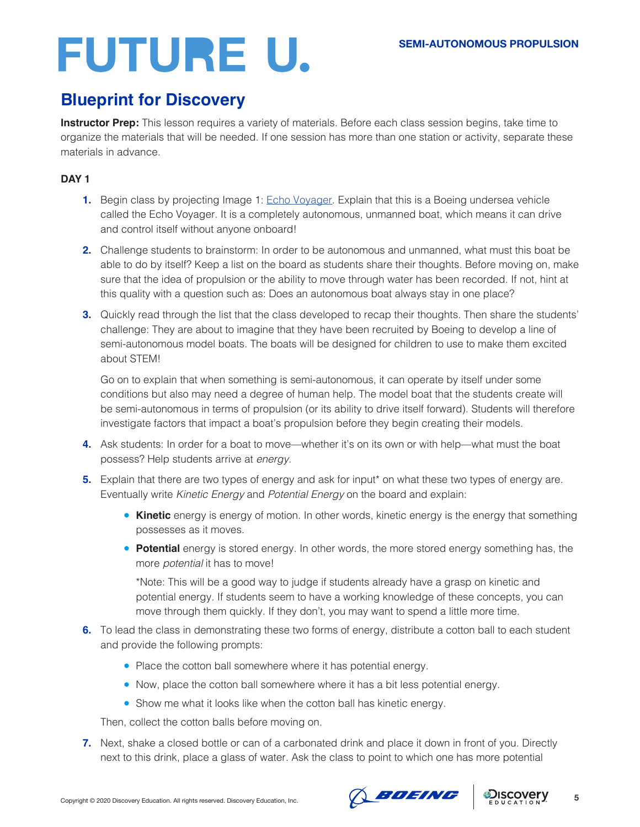## **Blueprint for Discovery**

**Instructor Prep:** This lesson requires a variety of materials. Before each class session begins, take time to organize the materials that will be needed. If one session has more than one station or activity, separate these materials in advance.

### **DAY 1**

- **1.** Begin class by projecting Image 1: [Echo Voyager.](https://hips.hearstapps.com/hmg-prod.s3.amazonaws.com/images/screen-shot-2019-02-14-at-10-57-45-am-1550170849.png) Explain that this is a Boeing undersea vehicle called the Echo Voyager. It is a completely autonomous, unmanned boat, which means it can drive and control itself without anyone onboard!
- **2.** Challenge students to brainstorm: In order to be autonomous and unmanned, what must this boat be able to do by itself? Keep a list on the board as students share their thoughts. Before moving on, make sure that the idea of propulsion or the ability to move through water has been recorded. If not, hint at this quality with a question such as: Does an autonomous boat always stay in one place?
- **3.** Quickly read through the list that the class developed to recap their thoughts. Then share the students' challenge: They are about to imagine that they have been recruited by Boeing to develop a line of semi-autonomous model boats. The boats will be designed for children to use to make them excited about STEM!

Go on to explain that when something is semi-autonomous, it can operate by itself under some conditions but also may need a degree of human help. The model boat that the students create will be semi-autonomous in terms of propulsion (or its ability to drive itself forward). Students will therefore investigate factors that impact a boat's propulsion before they begin creating their models.

- **4.** Ask students: In order for a boat to move—whether it's on its own or with help—what must the boat possess? Help students arrive at *energy*.
- **5.** Explain that there are two types of energy and ask for input<sup>\*</sup> on what these two types of energy are. Eventually write *Kinetic Energy* and *Potential Energy* on the board and explain:
	- **Kinetic** energy is energy of motion. In other words, kinetic energy is the energy that something possesses as it moves.
	- **Potential** energy is stored energy. In other words, the more stored energy something has, the more *potential* it has to move!

\*Note: This will be a good way to judge if students already have a grasp on kinetic and potential energy. If students seem to have a working knowledge of these concepts, you can move through them quickly. If they don't, you may want to spend a little more time.

- **6.** To lead the class in demonstrating these two forms of energy, distribute a cotton ball to each student and provide the following prompts:
	- Place the cotton ball somewhere where it has potential energy.
	- Now, place the cotton ball somewhere where it has a bit less potential energy.
	- Show me what it looks like when the cotton ball has kinetic energy.

Then, collect the cotton balls before moving on.

**7.** Next, shake a closed bottle or can of a carbonated drink and place it down in front of you. Directly next to this drink, place a glass of water. Ask the class to point to which one has more potential



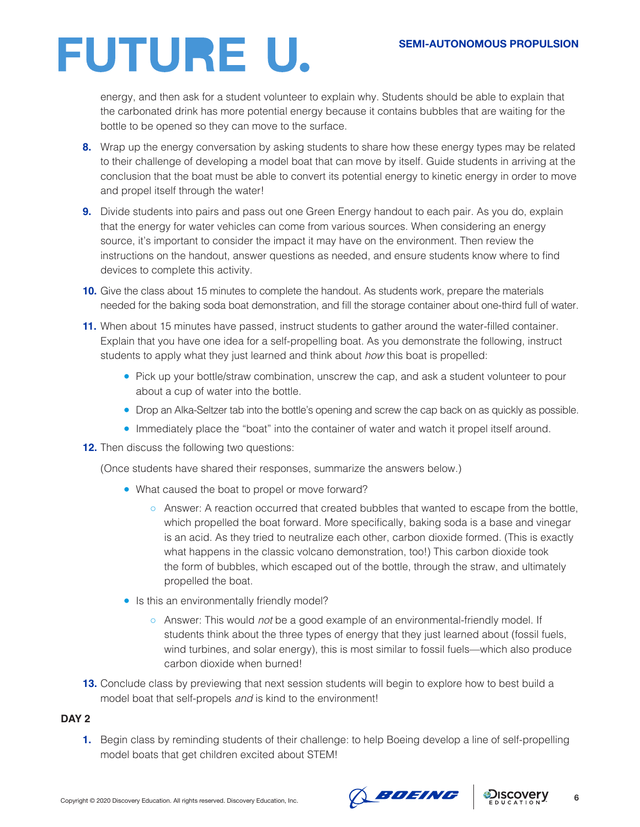energy, and then ask for a student volunteer to explain why. Students should be able to explain that the carbonated drink has more potential energy because it contains bubbles that are waiting for the bottle to be opened so they can move to the surface.

- **8.** Wrap up the energy conversation by asking students to share how these energy types may be related to their challenge of developing a model boat that can move by itself. Guide students in arriving at the conclusion that the boat must be able to convert its potential energy to kinetic energy in order to move and propel itself through the water!
- **9.** Divide students into pairs and pass out one Green Energy handout to each pair. As you do, explain that the energy for water vehicles can come from various sources. When considering an energy source, it's important to consider the impact it may have on the environment. Then review the instructions on the handout, answer questions as needed, and ensure students know where to find devices to complete this activity.
- **10.** Give the class about 15 minutes to complete the handout. As students work, prepare the materials needed for the baking soda boat demonstration, and fill the storage container about one-third full of water.
- **11.** When about 15 minutes have passed, instruct students to gather around the water-filled container. Explain that you have one idea for a self-propelling boat. As you demonstrate the following, instruct students to apply what they just learned and think about *how* this boat is propelled:
	- Pick up your bottle/straw combination, unscrew the cap, and ask a student volunteer to pour about a cup of water into the bottle.
	- Drop an Alka-Seltzer tab into the bottle's opening and screw the cap back on as quickly as possible.
	- Immediately place the "boat" into the container of water and watch it propel itself around.
- **12.** Then discuss the following two questions:

(Once students have shared their responses, summarize the answers below.)

- What caused the boat to propel or move forward?
	- Answer: A reaction occurred that created bubbles that wanted to escape from the bottle, which propelled the boat forward. More specifically, baking soda is a base and vinegar is an acid. As they tried to neutralize each other, carbon dioxide formed. (This is exactly what happens in the classic volcano demonstration, too!) This carbon dioxide took the form of bubbles, which escaped out of the bottle, through the straw, and ultimately propelled the boat.
- Is this an environmentally friendly model?
	- Answer: This would *not* be a good example of an environmental-friendly model. If students think about the three types of energy that they just learned about (fossil fuels, wind turbines, and solar energy), this is most similar to fossil fuels—which also produce carbon dioxide when burned!
- **13.** Conclude class by previewing that next session students will begin to explore how to best build a model boat that self-propels *and* is kind to the environment!

### **DAY 2**

**1.** Begin class by reminding students of their challenge: to help Boeing develop a line of self-propelling model boats that get children excited about STEM!



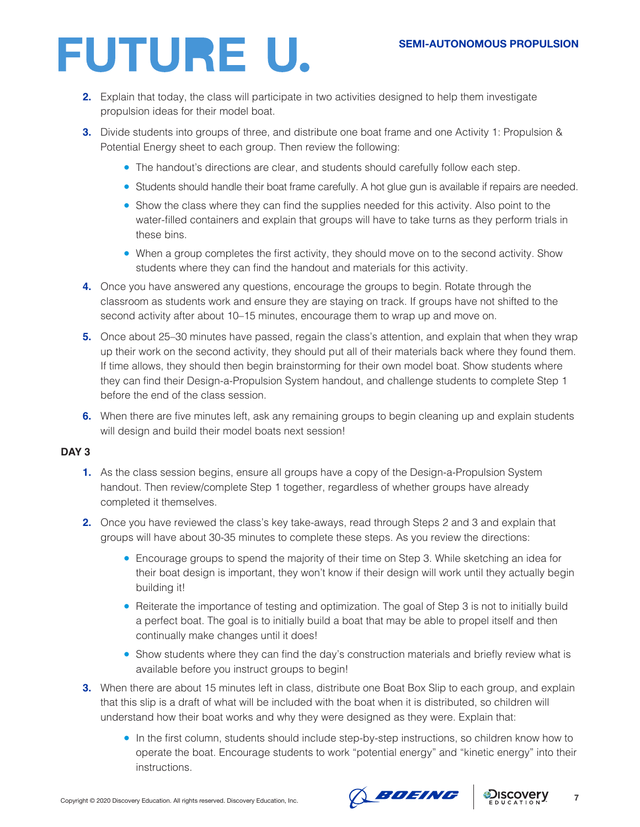- **2.** Explain that today, the class will participate in two activities designed to help them investigate propulsion ideas for their model boat.
- **3.** Divide students into groups of three, and distribute one boat frame and one Activity 1: Propulsion & Potential Energy sheet to each group. Then review the following:
	- The handout's directions are clear, and students should carefully follow each step.
	- Students should handle their boat frame carefully. A hot glue gun is available if repairs are needed.
	- Show the class where they can find the supplies needed for this activity. Also point to the water-filled containers and explain that groups will have to take turns as they perform trials in these bins.
	- When a group completes the first activity, they should move on to the second activity. Show students where they can find the handout and materials for this activity.
- **4.** Once you have answered any questions, encourage the groups to begin. Rotate through the classroom as students work and ensure they are staying on track. If groups have not shifted to the second activity after about 10–15 minutes, encourage them to wrap up and move on.
- **5.** Once about 25–30 minutes have passed, regain the class's attention, and explain that when they wrap up their work on the second activity, they should put all of their materials back where they found them. If time allows, they should then begin brainstorming for their own model boat. Show students where they can find their Design-a-Propulsion System handout, and challenge students to complete Step 1 before the end of the class session.
- **6.** When there are five minutes left, ask any remaining groups to begin cleaning up and explain students will design and build their model boats next session!

### **DAY 3**

- **1.** As the class session begins, ensure all groups have a copy of the Design-a-Propulsion System handout. Then review/complete Step 1 together, regardless of whether groups have already completed it themselves.
- **2.** Once you have reviewed the class's key take-aways, read through Steps 2 and 3 and explain that groups will have about 30-35 minutes to complete these steps. As you review the directions:
	- Encourage groups to spend the majority of their time on Step 3. While sketching an idea for their boat design is important, they won't know if their design will work until they actually begin building it!
	- Reiterate the importance of testing and optimization. The goal of Step 3 is not to initially build a perfect boat. The goal is to initially build a boat that may be able to propel itself and then continually make changes until it does!
	- Show students where they can find the day's construction materials and briefly review what is available before you instruct groups to begin!
- **3.** When there are about 15 minutes left in class, distribute one Boat Box Slip to each group, and explain that this slip is a draft of what will be included with the boat when it is distributed, so children will understand how their boat works and why they were designed as they were. Explain that:
	- In the first column, students should include step-by-step instructions, so children know how to operate the boat. Encourage students to work "potential energy" and "kinetic energy" into their instructions.

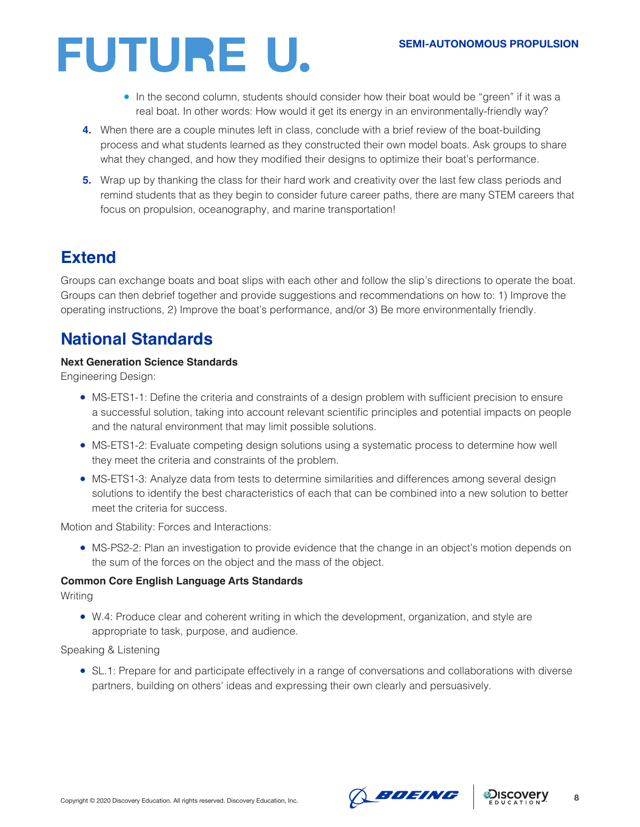- In the second column, students should consider how their boat would be "green" if it was a real boat. In other words: How would it get its energy in an environmentally-friendly way?
- **4.** When there are a couple minutes left in class, conclude with a brief review of the boat-building process and what students learned as they constructed their own model boats. Ask groups to share what they changed, and how they modified their designs to optimize their boat's performance.
- **5.** Wrap up by thanking the class for their hard work and creativity over the last few class periods and remind students that as they begin to consider future career paths, there are many STEM careers that focus on propulsion, oceanography, and marine transportation!

## **Extend**

Groups can exchange boats and boat slips with each other and follow the slip's directions to operate the boat. Groups can then debrief together and provide suggestions and recommendations on how to: 1) Improve the operating instructions, 2) Improve the boat's performance, and/or 3) Be more environmentally friendly.

## **National Standards**

### **Next Generation Science Standards**

Engineering Design:

- MS-ETS1-1: Define the criteria and constraints of a design problem with sufficient precision to ensure a successful solution, taking into account relevant scientific principles and potential impacts on people and the natural environment that may limit possible solutions.
- MS-ETS1-2: Evaluate competing design solutions using a systematic process to determine how well they meet the criteria and constraints of the problem.
- MS-ETS1-3: Analyze data from tests to determine similarities and differences among several design solutions to identify the best characteristics of each that can be combined into a new solution to better meet the criteria for success.

Motion and Stability: Forces and Interactions:

• MS-PS2-2: Plan an investigation to provide evidence that the change in an object's motion depends on the sum of the forces on the object and the mass of the object.

### **Common Core English Language Arts Standards**

Writing

● W.4: Produce clear and coherent writing in which the development, organization, and style are appropriate to task, purpose, and audience.

Speaking & Listening

● SL.1: Prepare for and participate effectively in a range of conversations and collaborations with diverse partners, building on others' ideas and expressing their own clearly and persuasively.



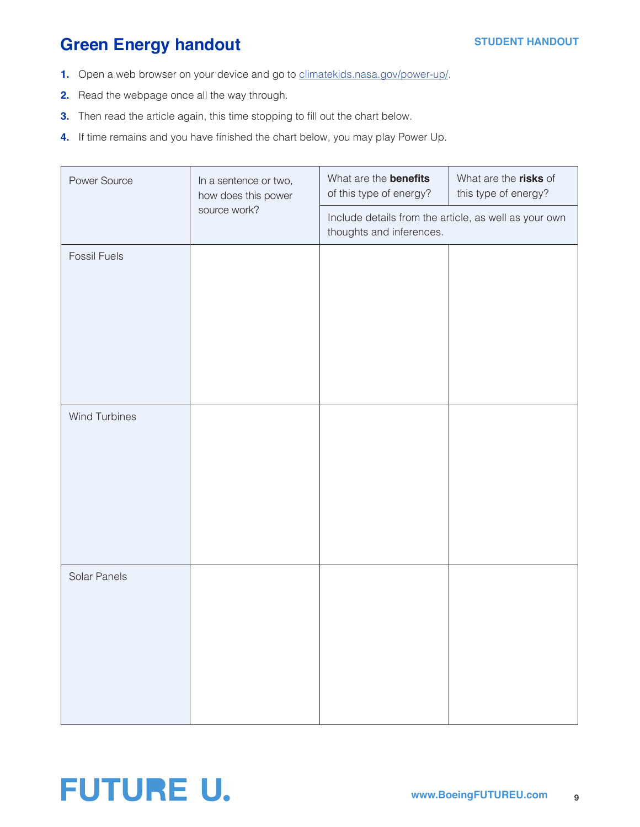## **Green Energy handout**

- **1.** Open a web browser on your device and go to [climatekids.nasa.gov/power-up/.](http://climatekids.nasa.gov/power-up/)
- **2.** Read the webpage once all the way through.
- **3.** Then read the article again, this time stopping to fill out the chart below.
- **4.** If time remains and you have finished the chart below, you may play Power Up.

| Power Source         | In a sentence or two,<br>how does this power<br>source work? | What are the <b>benefits</b><br>of this type of energy?                           | What are the risks of<br>this type of energy? |
|----------------------|--------------------------------------------------------------|-----------------------------------------------------------------------------------|-----------------------------------------------|
|                      |                                                              | Include details from the article, as well as your own<br>thoughts and inferences. |                                               |
| <b>Fossil Fuels</b>  |                                                              |                                                                                   |                                               |
| <b>Wind Turbines</b> |                                                              |                                                                                   |                                               |
| Solar Panels         |                                                              |                                                                                   |                                               |

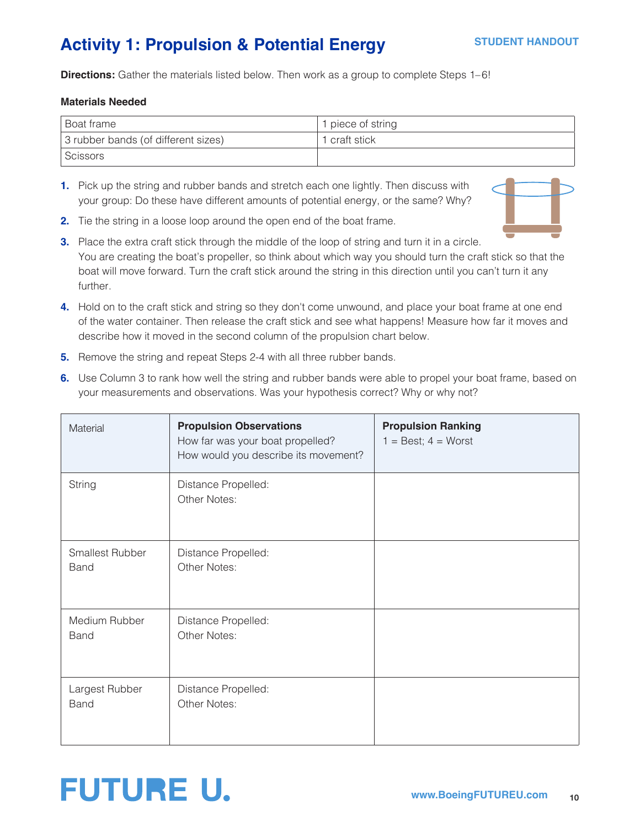## **Activity 1: Propulsion & Potential Energy**

**Directions:** Gather the materials listed below. Then work as a group to complete Steps 1–6!

#### **Materials Needed**

| <sup>1</sup> Boat frame             | 1 piece of string |
|-------------------------------------|-------------------|
| 3 rubber bands (of different sizes) | 1 craft stick     |
| Scissors                            |                   |

**1.** Pick up the string and rubber bands and stretch each one lightly. Then discuss with your group: Do these have different amounts of potential energy, or the same? Why?



- **2.** Tie the string in a loose loop around the open end of the boat frame.
- **3.** Place the extra craft stick through the middle of the loop of string and turn it in a circle. You are creating the boat's propeller, so think about which way you should turn the craft stick so that the boat will move forward. Turn the craft stick around the string in this direction until you can't turn it any further.
- **4.** Hold on to the craft stick and string so they don't come unwound, and place your boat frame at one end of the water container. Then release the craft stick and see what happens! Measure how far it moves and describe how it moved in the second column of the propulsion chart below.
- **5.** Remove the string and repeat Steps 2-4 with all three rubber bands.
- **6.** Use Column 3 to rank how well the string and rubber bands were able to propel your boat frame, based on your measurements and observations. Was your hypothesis correct? Why or why not?

| Material                              | <b>Propulsion Observations</b><br>How far was your boat propelled?<br>How would you describe its movement? | <b>Propulsion Ranking</b><br>$1 = Best$ ; $4 = Worst$ |
|---------------------------------------|------------------------------------------------------------------------------------------------------------|-------------------------------------------------------|
| String                                | Distance Propelled:<br>Other Notes:                                                                        |                                                       |
| <b>Smallest Rubber</b><br><b>Band</b> | Distance Propelled:<br>Other Notes:                                                                        |                                                       |
| Medium Rubber<br><b>Band</b>          | Distance Propelled:<br>Other Notes:                                                                        |                                                       |
| Largest Rubber<br><b>Band</b>         | Distance Propelled:<br>Other Notes:                                                                        |                                                       |

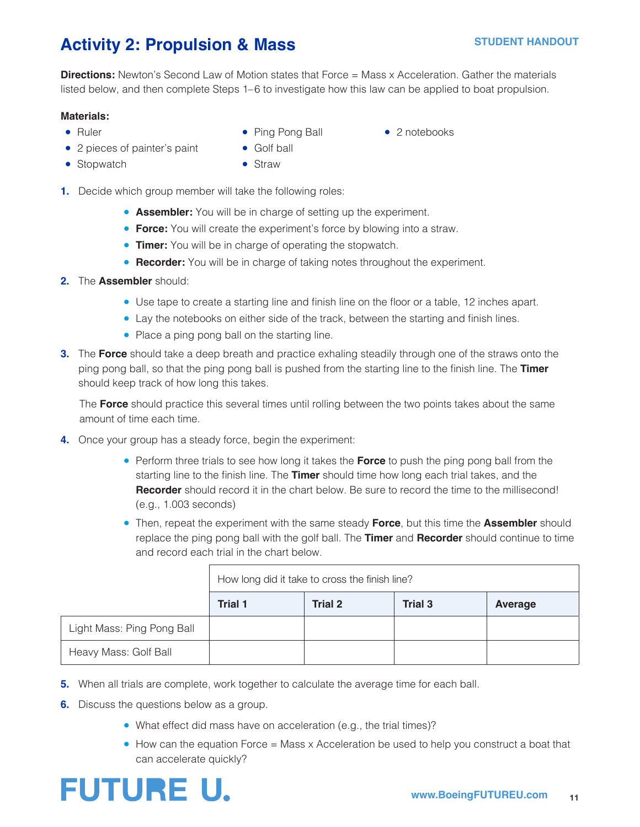## **Activity 2: Propulsion & Mass**

**Directions:** Newton's Second Law of Motion states that Force = Mass x Acceleration. Gather the materials listed below, and then complete Steps 1–6 to investigate how this law can be applied to boat propulsion.

### **Materials:**

- 
- Ruler Ping Pong Ball 2 notebooks
- 2 pieces of painter's paint Golf ball
- Stopwatch Straw
- **1.** Decide which group member will take the following roles:
	- **Assembler:** You will be in charge of setting up the experiment.
	- **Force:** You will create the experiment's force by blowing into a straw.
	- **Timer:** You will be in charge of operating the stopwatch.
	- **Recorder:** You will be in charge of taking notes throughout the experiment.
- **2.** The **Assembler** should:
	- Use tape to create a starting line and finish line on the floor or a table, 12 inches apart.
	- Lay the notebooks on either side of the track, between the starting and finish lines.
	- Place a ping pong ball on the starting line.
- **3.** The **Force** should take a deep breath and practice exhaling steadily through one of the straws onto the ping pong ball, so that the ping pong ball is pushed from the starting line to the finish line. The **Timer**  should keep track of how long this takes.

The **Force** should practice this several times until rolling between the two points takes about the same amount of time each time.

- **4.** Once your group has a steady force, begin the experiment:
	- Perform three trials to see how long it takes the **Force** to push the ping pong ball from the starting line to the finish line. The **Timer** should time how long each trial takes, and the **Recorder** should record it in the chart below. Be sure to record the time to the millisecond! (e.g., 1.003 seconds)
	- Then, repeat the experiment with the same steady **Force**, but this time the **Assembler** should replace the ping pong ball with the golf ball. The **Timer** and **Recorder** should continue to time and record each trial in the chart below.

|                            |         | How long did it take to cross the finish line? |                |         |
|----------------------------|---------|------------------------------------------------|----------------|---------|
|                            | Trial 1 | Trial 2                                        | <b>Trial 3</b> | Average |
| Light Mass: Ping Pong Ball |         |                                                |                |         |
| Heavy Mass: Golf Ball      |         |                                                |                |         |

- **5.** When all trials are complete, work together to calculate the average time for each ball.
- **6.** Discuss the questions below as a group.
	- What effect did mass have on acceleration (e.g., the trial times)?
	- How can the equation Force = Mass x Acceleration be used to help you construct a boat that can accelerate quickly?

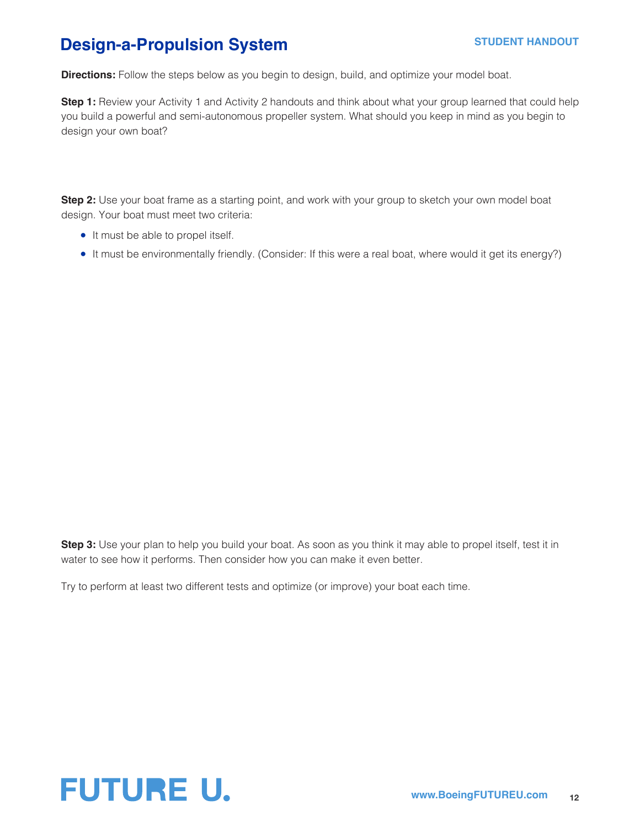## **Design-a-Propulsion System**

**Directions:** Follow the steps below as you begin to design, build, and optimize your model boat.

**Step 1:** Review your Activity 1 and Activity 2 handouts and think about what your group learned that could help you build a powerful and semi-autonomous propeller system. What should you keep in mind as you begin to design your own boat?

**Step 2:** Use your boat frame as a starting point, and work with your group to sketch your own model boat design. Your boat must meet two criteria:

- It must be able to propel itself.
- It must be environmentally friendly. (Consider: If this were a real boat, where would it get its energy?)

**Step 3:** Use your plan to help you build your boat. As soon as you think it may able to propel itself, test it in water to see how it performs. Then consider how you can make it even better.

Try to perform at least two different tests and optimize (or improve) your boat each time.